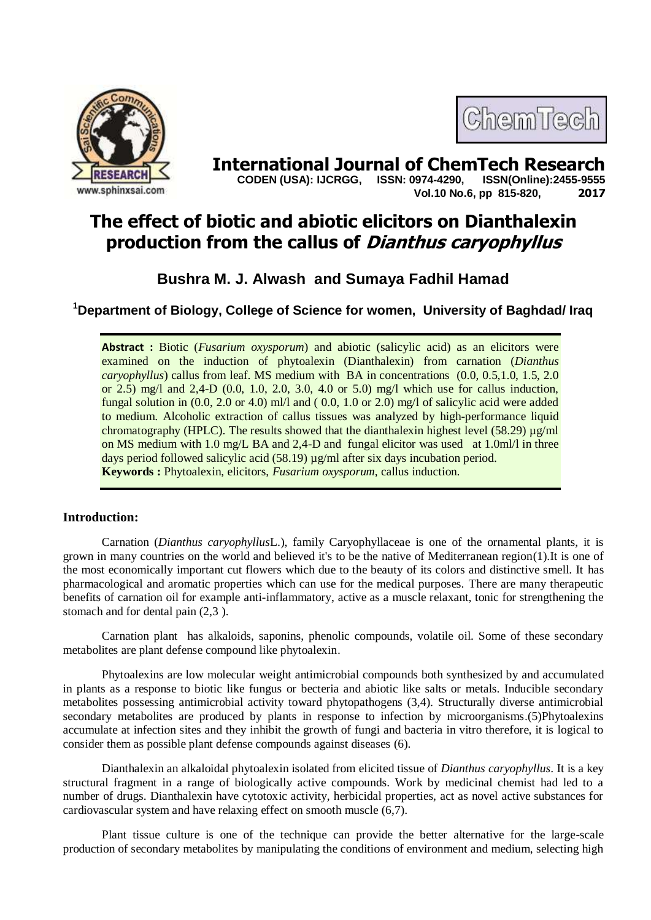



**International Journal of ChemTech Research CODEN (USA): IJCRGG. ISSN: 0974-4290. ISSN(Online):2455-9555 CODEN (USA): IJCRGG, ISSN: 0974-4290, Vol.10 No.6, pp 815-820, 2017**

# **The effect of biotic and abiotic elicitors on Dianthalexin production from the callus of Dianthus caryophyllus**

# **Bushra M. J. Alwash and Sumaya Fadhil Hamad**

**<sup>1</sup>Department of Biology, College of Science for women, University of Baghdad/ Iraq**

**Abstract :** Biotic (*Fusarium oxysporum*) and abiotic (salicylic acid) as an elicitors were examined on the induction of phytoalexin (Dianthalexin) from carnation (*Dianthus caryophyllus*) callus from leaf. MS medium with BA in concentrations (0.0, 0.5,1.0, 1.5, 2.0 or 2.5) mg/l and 2,4-D (0.0, 1.0, 2.0, 3.0, 4.0 or 5.0) mg/l which use for callus induction, fungal solution in (0.0, 2.0 or 4.0) ml/l and ( 0.0, 1.0 or 2.0) mg/l of salicylic acid were added to medium. Alcoholic extraction of callus tissues was analyzed by high-performance liquid chromatography (HPLC). The results showed that the dianthalexin highest level (58.29)  $\mu$ g/ml on MS medium with 1.0 mg/L BA and 2,4-D and fungal elicitor was used at 1.0ml/l in three days period followed salicylic acid (58.19) µg/ml after six days incubation period. **Keywords :** Phytoalexin, elicitors, *Fusarium oxysporum*, callus induction.

# **Introduction:**

Carnation (*Dianthus caryophyllus*L.), family Caryophyllaceae is one of the ornamental plants, it is grown in many countries on the world and believed it's to be the native of Mediterranean region(1).It is one of the most economically important cut flowers which due to the beauty of its colors and distinctive smell. It has pharmacological and aromatic properties which can use for the medical purposes. There are many therapeutic benefits of carnation oil for example anti-inflammatory, active as a muscle relaxant, tonic for strengthening the stomach and for dental pain (2,3 ).

Carnation plant has alkaloids, saponins, phenolic compounds, volatile oil. Some of these secondary metabolites are plant defense compound like phytoalexin.

Phytoalexins are low molecular weight antimicrobial compounds both synthesized by and accumulated in plants as a response to biotic like fungus or becteria and abiotic like salts or metals. Inducible secondary metabolites possessing antimicrobial activity toward phytopathogens (3,4). Structurally diverse antimicrobial secondary metabolites are produced by plants in response to infection by microorganisms.(5)Phytoalexins accumulate at infection sites and they inhibit the growth of fungi and bacteria in vitro therefore, it is logical to consider them as possible plant defense compounds against diseases (6).

Dianthalexin an alkaloidal phytoalexin isolated from elicited tissue of *Dianthus caryophyllus*. It is a key structural fragment in a range of biologically active compounds. Work by medicinal chemist had led to a number of drugs. Dianthalexin have cytotoxic activity, herbicidal properties, act as novel active substances for cardiovascular system and have relaxing effect on smooth muscle (6,7).

Plant tissue culture is one of the technique can provide the better alternative for the large-scale production of secondary metabolites by manipulating the conditions of environment and medium, selecting high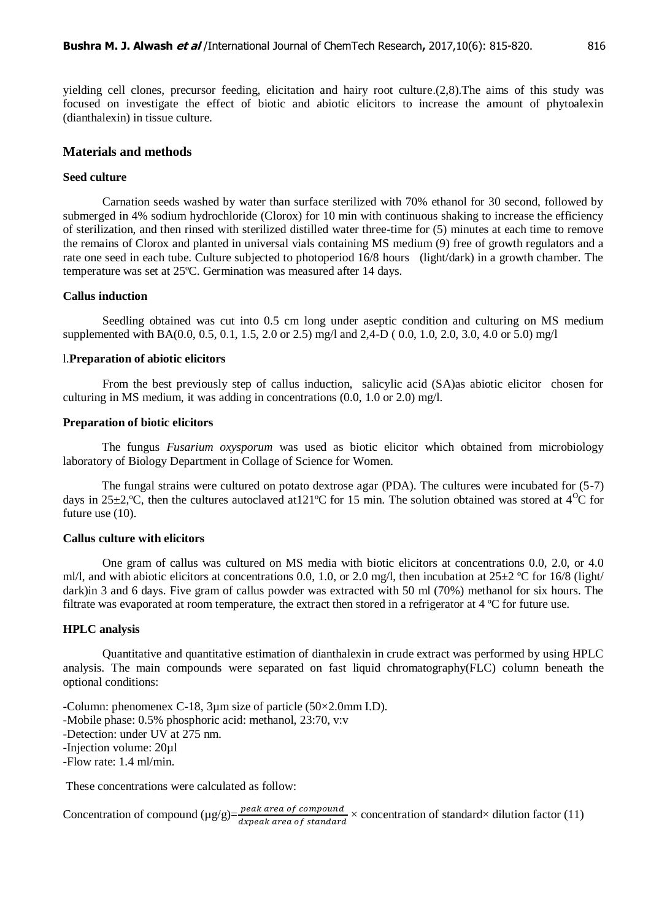yielding cell clones, precursor feeding, elicitation and hairy root culture.(2,8).The aims of this study was focused on investigate the effect of biotic and abiotic elicitors to increase the amount of phytoalexin (dianthalexin) in tissue culture.

# **Materials and methods**

#### **Seed culture**

Carnation seeds washed by water than surface sterilized with 70% ethanol for 30 second, followed by submerged in 4% sodium hydrochloride (Clorox) for 10 min with continuous shaking to increase the efficiency of sterilization, and then rinsed with sterilized distilled water three-time for (5) minutes at each time to remove the remains of Clorox and planted in universal vials containing MS medium (9) free of growth regulators and a rate one seed in each tube. Culture subjected to photoperiod 16/8 hours (light/dark) in a growth chamber. The temperature was set at 25ºC. Germination was measured after 14 days.

# **Callus induction**

Seedling obtained was cut into 0.5 cm long under aseptic condition and culturing on MS medium supplemented with BA(0.0, 0.5, 0.1, 1.5, 2.0 or 2.5) mg/l and 2,4-D ( 0.0, 1.0, 2.0, 3.0, 4.0 or 5.0) mg/l

#### l.**Preparation of abiotic elicitors**

From the best previously step of callus induction, salicylic acid (SA)as abiotic elicitor chosen for culturing in MS medium, it was adding in concentrations (0.0, 1.0 or 2.0) mg/l.

#### **Preparation of biotic elicitors**

The fungus *Fusarium oxysporum* was used as biotic elicitor which obtained from microbiology laboratory of Biology Department in Collage of Science for Women.

The fungal strains were cultured on potato dextrose agar (PDA). The cultures were incubated for (5-7) days in 25±2, °C, then the cultures autoclaved at 121 °C for 15 min. The solution obtained was stored at 4 °C for future use  $(10)$ .

## **Callus culture with elicitors**

One gram of callus was cultured on MS media with biotic elicitors at concentrations 0.0, 2.0, or 4.0 ml/l, and with abiotic elicitors at concentrations 0.0, 1.0, or 2.0 mg/l, then incubation at  $25\pm2$  °C for 16/8 (light/ dark)in 3 and 6 days. Five gram of callus powder was extracted with 50 ml (70%) methanol for six hours. The filtrate was evaporated at room temperature, the extract then stored in a refrigerator at 4 ºC for future use.

#### **HPLC analysis**

Quantitative and quantitative estimation of dianthalexin in crude extract was performed by using HPLC analysis. The main compounds were separated on fast liquid chromatography(FLC) column beneath the optional conditions:

-Column: phenomenex C-18, 3µm size of particle (50×2.0mm I.D). -Mobile phase: 0.5% phosphoric acid: methanol, 23:70, v:v -Detection: under UV at 275 nm. -Injection volume: 20µl -Flow rate: 1.4 ml/min.

These concentrations were calculated as follow:

Concentration of compound  $(\mu g/g) = \frac{peak \text{ area of compound}}{dx \text{ peak area of standard}} \times \text{concentration of standard} \times \text{dilution factor (11)}$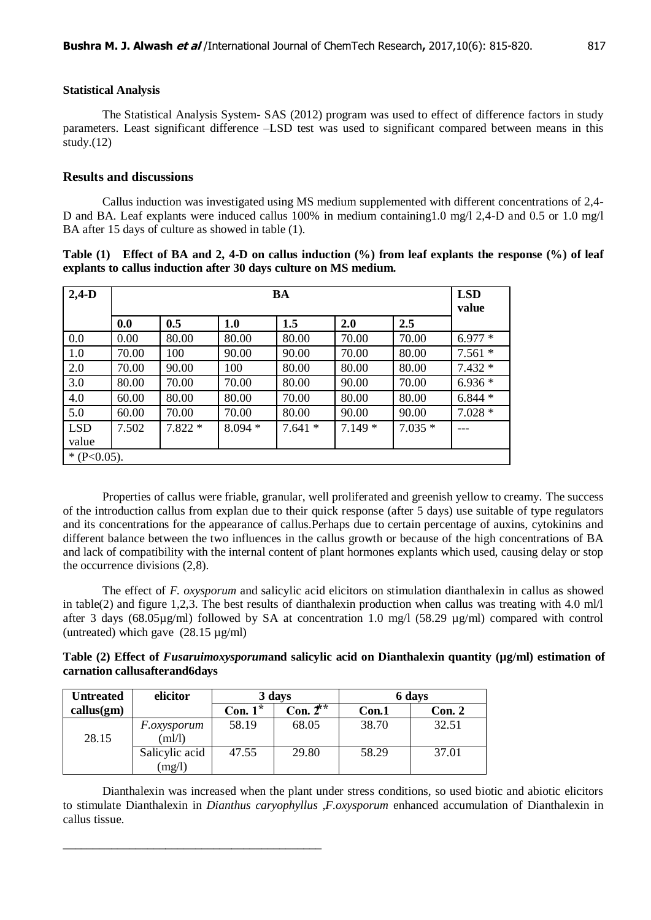# **Statistical Analysis**

The Statistical Analysis System- SAS (2012) program was used to effect of difference factors in study parameters. Least significant difference –LSD test was used to significant compared between means in this study. $(12)$ 

# **Results and discussions**

Callus induction was investigated using MS medium supplemented with different concentrations of 2,4- D and BA. Leaf explants were induced callus 100% in medium containing1.0 mg/l 2,4-D and 0.5 or 1.0 mg/l BA after 15 days of culture as showed in table (1).

| Table (1) Effect of BA and 2, 4-D on callus induction (%) from leaf explants the response (%) of leaf |  |  |  |
|-------------------------------------------------------------------------------------------------------|--|--|--|
| explants to callus induction after 30 days culture on MS medium.                                      |  |  |  |

| $2,4-D$        | <b>BA</b> |          |          |          |          |          | <b>LSD</b><br>value |
|----------------|-----------|----------|----------|----------|----------|----------|---------------------|
|                | 0.0       | 0.5      | 1.0      | 1.5      | 2.0      | 2.5      |                     |
| 0.0            | 0.00      | 80.00    | 80.00    | 80.00    | 70.00    | 70.00    | $6.977*$            |
| 1.0            | 70.00     | 100      | 90.00    | 90.00    | 70.00    | 80.00    | $7.561*$            |
| 2.0            | 70.00     | 90.00    | 100      | 80.00    | 80.00    | 80.00    | $7.432*$            |
| 3.0            | 80.00     | 70.00    | 70.00    | 80.00    | 90.00    | 70.00    | $6.936*$            |
| 4.0            | 60.00     | 80.00    | 80.00    | 70.00    | 80.00    | 80.00    | $6.844*$            |
| 5.0            | 60.00     | 70.00    | 70.00    | 80.00    | 90.00    | 90.00    | $7.028*$            |
| <b>LSD</b>     | 7.502     | $7.822*$ | $8.094*$ | $7.641*$ | $7.149*$ | $7.035*$ |                     |
| value          |           |          |          |          |          |          |                     |
| * $(P<0.05)$ . |           |          |          |          |          |          |                     |

Properties of callus were friable, granular, well proliferated and greenish yellow to creamy. The success of the introduction callus from explan due to their quick response (after 5 days) use suitable of type regulators and its concentrations for the appearance of callus.Perhaps due to certain percentage of auxins, cytokinins and different balance between the two influences in the callus growth or because of the high concentrations of BA and lack of compatibility with the internal content of plant hormones explants which used, causing delay or stop the occurrence divisions (2,8).

The effect of *F. oxysporum* and salicylic acid elicitors on stimulation dianthalexin in callus as showed in table(2) and figure 1,2,3. The best results of dianthalexin production when callus was treating with 4.0 ml/l after 3 days (68.05µg/ml) followed by SA at concentration 1.0 mg/l (58.29 µg/ml) compared with control (untreated) which gave (28.15 µg/ml)

| Table (2) Effect of <i>Fusaruimoxysporumand</i> salicylic acid on Dianthalexin quantity (µg/ml) estimation of |  |  |  |
|---------------------------------------------------------------------------------------------------------------|--|--|--|
| carnation callusafterand6days                                                                                 |  |  |  |

| <b>Untreated</b> | elicitor           | 3 days     |                       | 6 days |        |  |
|------------------|--------------------|------------|-----------------------|--------|--------|--|
| callus(gm)       |                    | Con. $1^*$ | Con. $2^{\star\star}$ | Con.1  | Con. 2 |  |
|                  | <i>F.oxysporum</i> | 58.19      | 68.05                 | 38.70  | 32.51  |  |
| 28.15            | m!/l               |            |                       |        |        |  |
|                  | Salicylic acid     | 47.55      | 29.80                 | 58.29  | 37.01  |  |
|                  | (mg/l)             |            |                       |        |        |  |

\_\_\_\_\_\_\_\_\_\_\_\_\_\_\_\_\_\_\_\_\_\_\_\_\_\_\_\_\_\_\_\_\_\_\_\_\_\_\_\_\_\_\_

Dianthalexin was increased when the plant under stress conditions, so used biotic and abiotic elicitors to stimulate Dianthalexin in *Dianthus caryophyllus* ,*F*.*oxysporum* enhanced accumulation of Dianthalexin in callus tissue.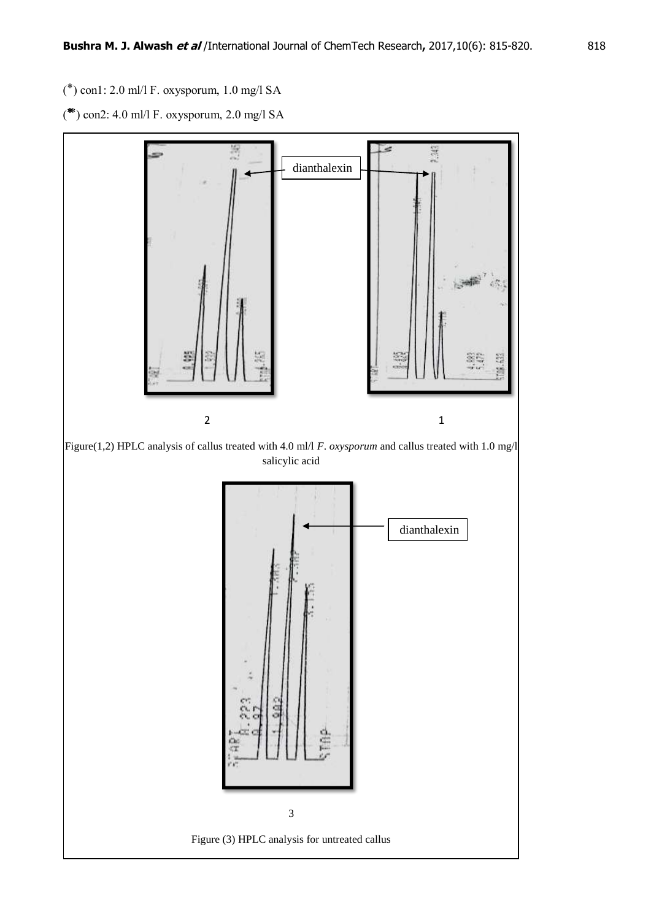$(*)$  con1: 2.0 ml/l F. oxysporum, 1.0 mg/l SA

 $(* )$  con2: 4.0 ml/l F. oxysporum, 2.0 mg/l SA

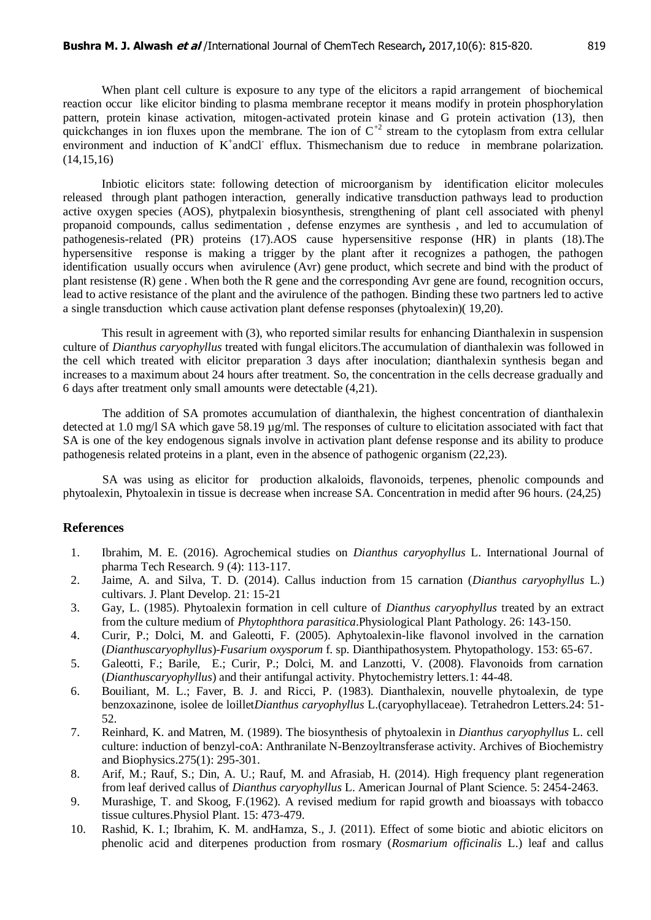When plant cell culture is exposure to any type of the elicitors a rapid arrangement of biochemical reaction occur like elicitor binding to plasma membrane receptor it means modify in protein phosphorylation pattern, protein kinase activation, mitogen-activated protein kinase and G protein activation (13), then quickchanges in ion fluxes upon the membrane. The ion of  $C^{2}$  stream to the cytoplasm from extra cellular environment and induction of K<sup>+</sup>andCl<sup>-</sup> efflux. Thismechanism due to reduce in membrane polarization.  $(14,15,16)$ 

Inbiotic elicitors state: following detection of microorganism by identification elicitor molecules released through plant pathogen interaction, generally indicative transduction pathways lead to production active oxygen species (AOS), phytpalexin biosynthesis, strengthening of plant cell associated with phenyl propanoid compounds, callus sedimentation , defense enzymes are synthesis , and led to accumulation of pathogenesis-related (PR) proteins (17).AOS cause hypersensitive response (HR) in plants (18).The hypersensitive response is making a trigger by the plant after it recognizes a pathogen, the pathogen identification usually occurs when avirulence (Avr) gene product, which secrete and bind with the product of plant resistense (R) gene . When both the R gene and the corresponding Avr gene are found, recognition occurs, lead to active resistance of the plant and the avirulence of the pathogen. Binding these two partners led to active a single transduction which cause activation plant defense responses (phytoalexin)( 19,20).

This result in agreement with (3), who reported similar results for enhancing Dianthalexin in suspension culture of *Dianthus caryophyllus* treated with fungal elicitors.The accumulation of dianthalexin was followed in the cell which treated with elicitor preparation 3 days after inoculation; dianthalexin synthesis began and increases to a maximum about 24 hours after treatment. So, the concentration in the cells decrease gradually and 6 days after treatment only small amounts were detectable (4,21).

The addition of SA promotes accumulation of dianthalexin, the highest concentration of dianthalexin detected at 1.0 mg/l SA which gave 58.19 µg/ml. The responses of culture to elicitation associated with fact that SA is one of the key endogenous signals involve in activation plant defense response and its ability to produce pathogenesis related proteins in a plant, even in the absence of pathogenic organism (22,23).

SA was using as elicitor for production alkaloids, flavonoids, terpenes, phenolic compounds and phytoalexin, Phytoalexin in tissue is decrease when increase SA. Concentration in medid after 96 hours. (24,25)

## **References**

- 1. Ibrahim, M. E. (2016). Agrochemical studies on *Dianthus caryophyllus* L. International Journal of pharma Tech Research. 9 (4): 113-117.
- 2. Jaime, A. and Silva, T. D. (2014). Callus induction from 15 carnation (*Dianthus caryophyllus* L.) cultivars. J. Plant Develop. 21: 15-21
- 3. Gay, L. (1985). Phytoalexin formation in cell culture of *Dianthus caryophyllus* treated by an extract from the culture medium of *Phytophthora parasitica*.Physiological Plant Pathology. 26: 143-150.
- 4. Curir, P.; Dolci, M. and Galeotti, F. (2005). Aphytoalexin-like flavonol involved in the carnation (*Dianthuscaryophyllus*)-*Fusarium oxysporum* f. sp. Dianthipathosystem. Phytopathology. 153: 65-67.
- 5. Galeotti, F.; Barile, E.; Curir, P.; Dolci, M. and Lanzotti, V. (2008). Flavonoids from carnation (*Dianthuscaryophyllus*) and their antifungal activity. Phytochemistry letters.1: 44-48.
- 6. Bouiliant, M. L.; Faver, B. J. and Ricci, P. (1983). Dianthalexin, nouvelle phytoalexin, de type benzoxazinone, isolee de loillet*Dianthus caryophyllus* L.(caryophyllaceae). Tetrahedron Letters.24: 51- 52.
- 7. Reinhard, K. and Matren, M. (1989). The biosynthesis of phytoalexin in *Dianthus caryophyllus* L. cell culture: induction of benzyl-coA: Anthranilate N-Benzoyltransferase activity. Archives of Biochemistry and Biophysics.275(1): 295-301.
- 8. Arif, M.; Rauf, S.; Din, A. U.; Rauf, M. and Afrasiab, H. (2014). High frequency plant regeneration from leaf derived callus of *Dianthus caryophyllus* L. American Journal of Plant Science. 5: 2454-2463.
- 9. Murashige, T. and Skoog, F.(1962). A revised medium for rapid growth and bioassays with tobacco tissue cultures.Physiol Plant. 15: 473-479.
- 10. Rashid, K. I.; Ibrahim, K. M. andHamza, S., J. (2011). Effect of some biotic and abiotic elicitors on phenolic acid and diterpenes production from rosmary (*Rosmarium officinalis* L.) leaf and callus